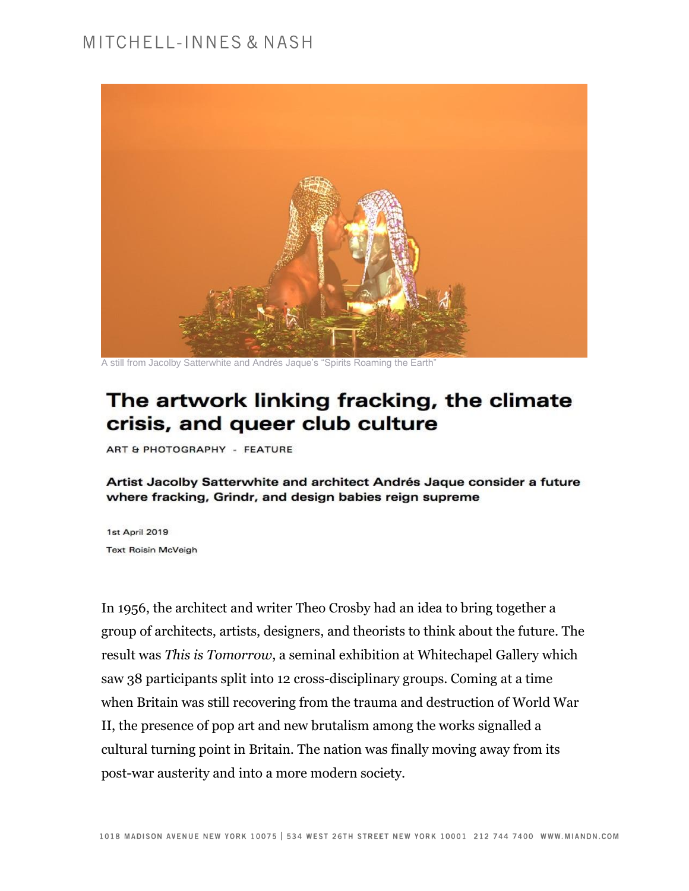

A still from Jacolby Satterwhite and Andrés Jaque's "Spirits Roaming the Earth"

# The artwork linking fracking, the climate crisis, and queer club culture

ART & PHOTOGRAPHY - FEATURE

Artist Jacolby Satterwhite and architect Andrés Jaque consider a future where fracking, Grindr, and design babies reign supreme

1st April 2019 **Text Roisin McVeigh** 

In 1956, the architect and writer Theo Crosby had an idea to bring together a group of architects, artists, designers, and theorists to think about the future. The result was *[This is Tomorrow](https://www.whitechapelgallery.org/exhibitions/this-is-tomorrow/)*, a seminal exhibition at Whitechapel Gallery which saw 38 participants split into 12 cross-disciplinary groups. Coming at a time when Britain was still recovering from the trauma and destruction of World War II, the presence of pop art and new brutalism among the works signalled a cultural turning point in Britain. The nation was finally moving away from its post-war austerity and into a more modern society.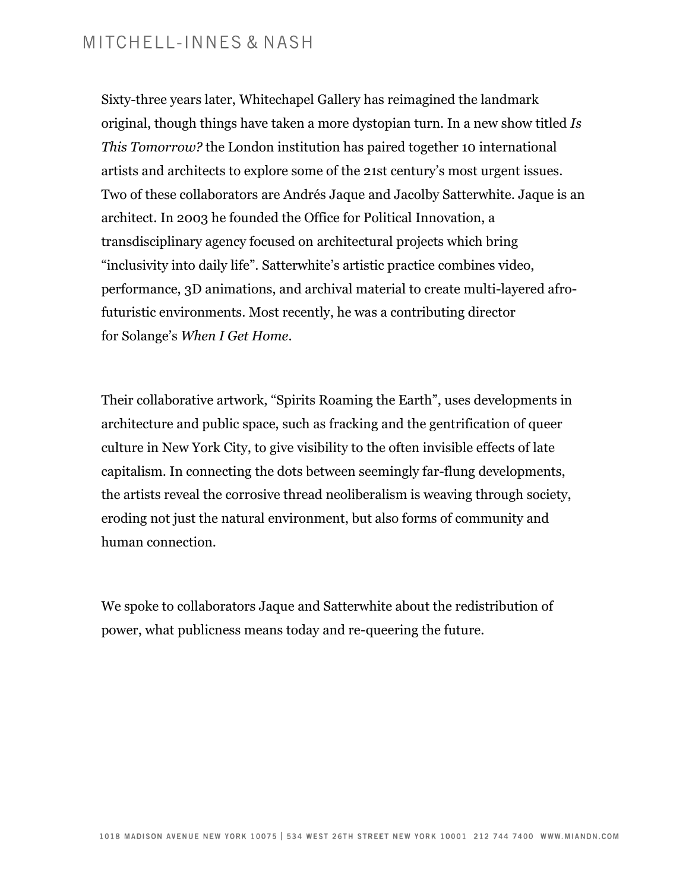Sixty-three years later, [Whitechapel Gallery](https://www.instagram.com/whitechapelgallery/) has reimagined the landmark original, though things have taken a more dystopian turn. In a new show titled *[Is](https://www.whitechapelgallery.org/exhibitions/is-this-tomorrow/)  [This Tomorrow?](https://www.whitechapelgallery.org/exhibitions/is-this-tomorrow/)* the London institution has paired together 10 international artists and architects to explore some of the 21st century's most urgent issues. Two of these collaborators are [Andrés Jaque](https://www.instagram.com/andres_jaque/) and [Jacolby Satterwhite.](https://www.instagram.com/jacolbysatt/) Jaque is an architect. In 2003 he founded the [Office for Political Innovation,](https://officeforpoliticalinnovation.com/) a transdisciplinary agency focused on architectural projects which bring "inclusivity into daily life". Satterwhite's artistic practice combines video, performance, 3D animations, and archival material to create multi-layered afrofuturistic environments. Most recently, he was a contributing director for Solange's *[When I Get Home](https://www.dazeddigital.com/music/article/43567/1/solange-releases-companion-film-to-accompany-new-album-when-i-get-home)*.

Their collaborative artwork, "Spirits Roaming the Earth", uses developments in architecture and public space, such as [fracking](https://www.dazeddigital.com/fracking) and the gentrification of [queer](http://www.dazeddigital.com/tag/queer-culture)  [culture](http://www.dazeddigital.com/tag/queer-culture) in [New York City,](https://www.dazeddigital.com/tag/new-york) to give visibility to the often invisible effects of late capitalism. In connecting the dots between seemingly far-flung developments, the artists reveal the corrosive thread neoliberalism is weaving through society, eroding not just the natural environment, but also forms of community and human connection.

We spoke to collaborators Jaque and Satterwhite about the redistribution of power, what publicness means today and re-queering the future.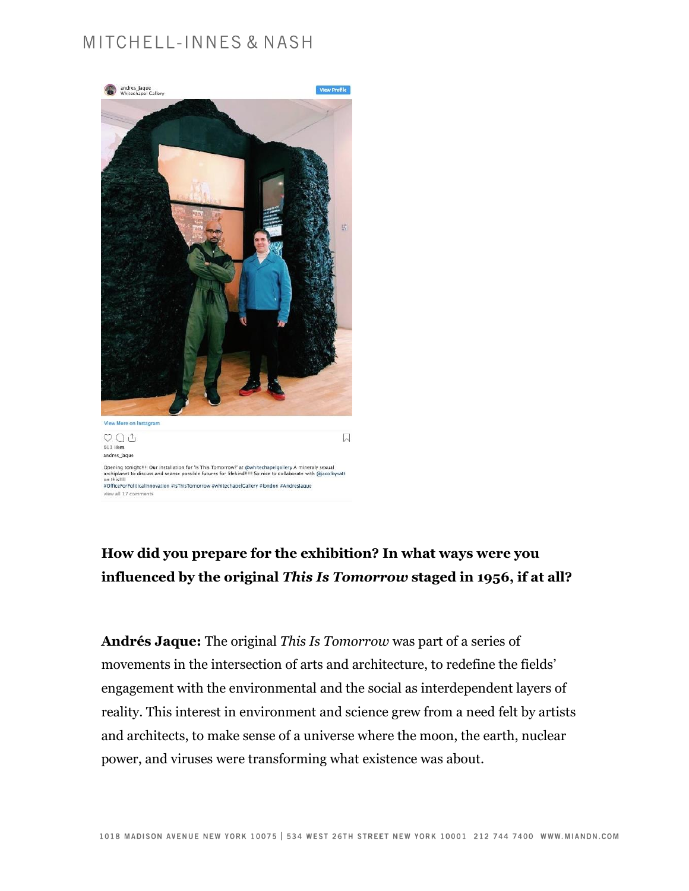

#### **How did you prepare for the exhibition? In what ways were you influenced by the original** *This Is Tomorrow* **staged in 1956, if at all?**

**Andrés Jaque:** The original *This Is Tomorrow* was part of a series of movements in the intersection of arts and architecture, to redefine the fields' engagement with the environmental and the social as interdependent layers of reality. This interest in environment and science grew from a need felt by artists and architects, to make sense of a universe where the moon, the earth, nuclear power, and viruses were transforming what existence was about.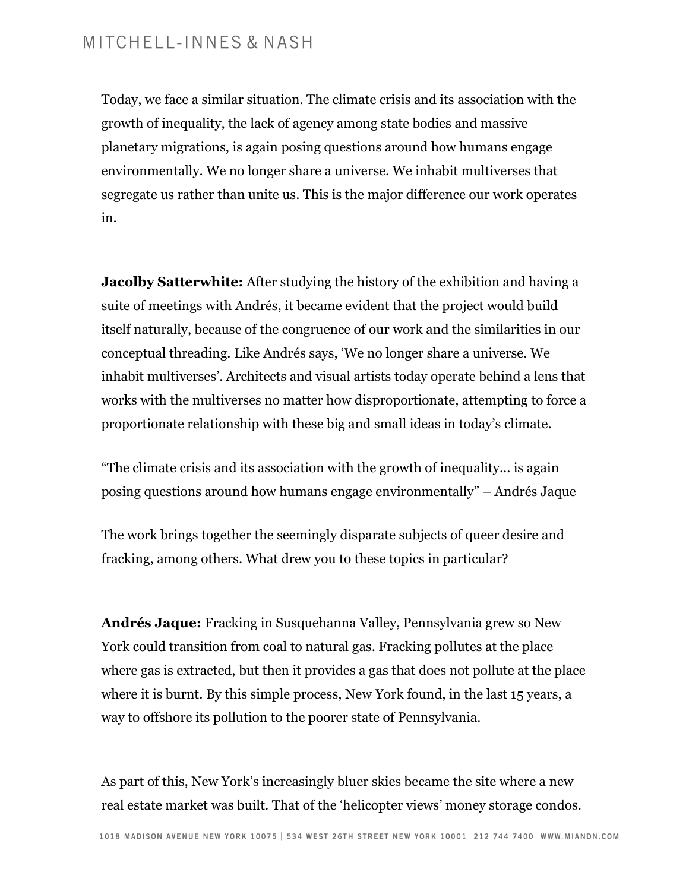Today, we face a similar situation. The climate crisis and its association with the growth of inequality, the lack of agency among state bodies and massive planetary migrations, is again posing questions around how humans engage environmentally. We no longer share a universe. We inhabit multiverses that segregate us rather than unite us. This is the major difference our work operates in.

**Jacolby Satterwhite:** After studying the history of the exhibition and having a suite of meetings with Andrés, it became evident that the project would build itself naturally, because of the congruence of our work and the similarities in our conceptual threading. Like Andrés says, 'We no longer share a universe. We inhabit multiverses'. Architects and visual artists today operate behind a lens that works with the multiverses no matter how disproportionate, attempting to force a proportionate relationship with these big and small ideas in today's climate.

"The climate crisis and its association with the growth of inequality... is again posing questions around how humans engage environmentally" – Andrés Jaque

The work brings together the seemingly disparate subjects of queer desire and fracking, among others. What drew you to these topics in particular?

**Andrés Jaque:** Fracking in Susquehanna Valley, Pennsylvania grew so New York could transition from coal to natural gas. Fracking pollutes at the place where gas is extracted, but then it provides a gas that does not pollute at the place where it is burnt. By this simple process, New York found, in the last 15 years, a way to offshore its pollution to the poorer state of Pennsylvania.

As part of this, New York's increasingly bluer skies became the site where a new real estate market was built. That of the 'helicopter views' money storage condos.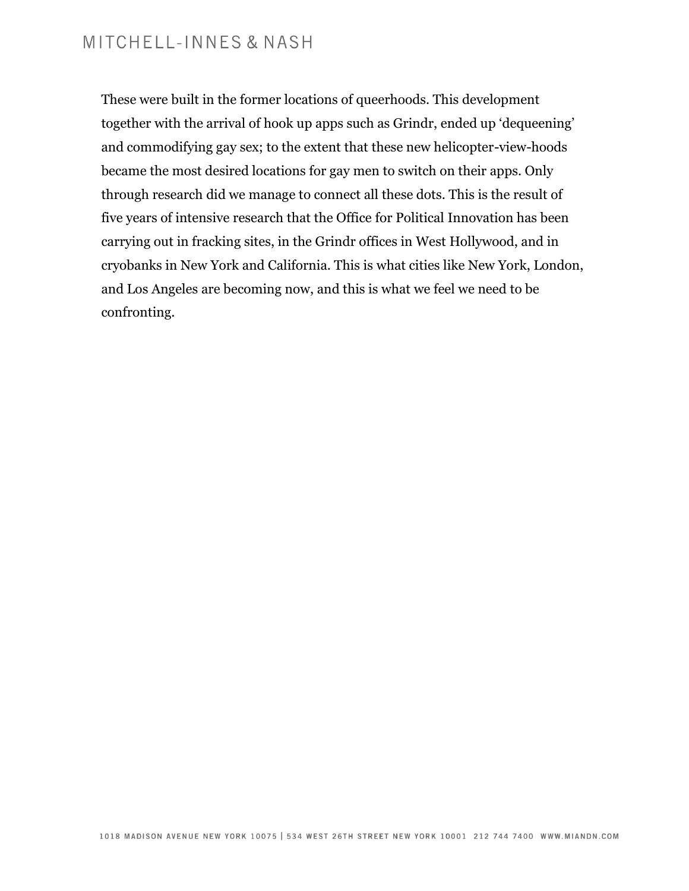These were built in the former locations of queerhoods. This development together with the arrival of hook up apps such as Grindr, ended up 'dequeening' and commodifying gay sex; to the extent that these new helicopter-view-hoods became the most desired locations for gay men to switch on their apps. Only through research did we manage to connect all these dots. This is the result of five years of intensive research that the Office for Political Innovation has been carrying out in fracking sites, in the Grindr offices in West Hollywood, and in cryobanks in New York and California. This is what cities like New York, London, and Los Angeles are becoming now, and this is what we feel we need to be confronting.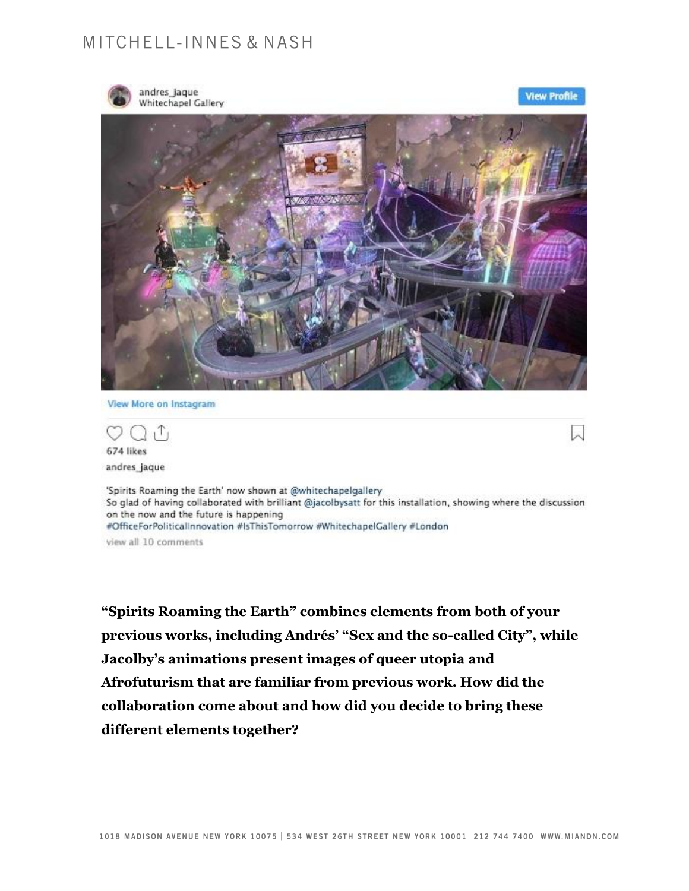

andres\_jaque<br>Whitechapel Gallery

**View Profile** 



View More on Instagram

 $T_1$ 674 likes andres jaque

'Spirits Roaming the Earth' now shown at @whitechapelgallery So glad of having collaborated with brilliant @jacolbysatt for this installation, showing where the discussion on the now and the future is happening #OfficeForPoliticalInnovation #IsThisTomorrow #WhitechapelGallery #London

view all 10 comments

**"Spirits Roaming the Earth" combines elements from both of your previous works, including Andrés' "Sex and the so-called City", while Jacolby's animations present images of queer utopia and Afrofuturism that are familiar from previous work. How did the collaboration come about and how did you decide to bring these different elements together?**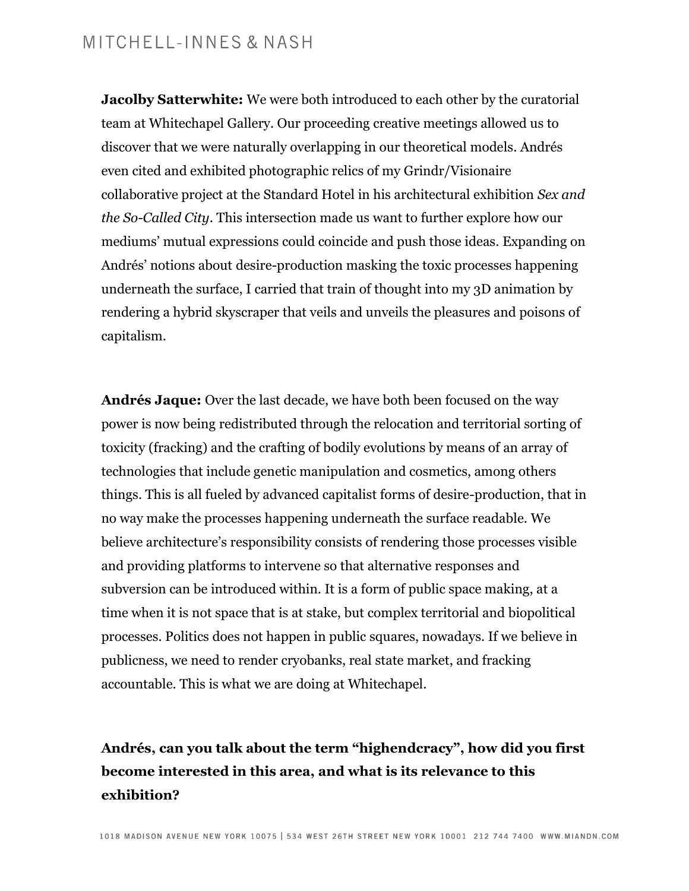**Jacolby Satterwhite:** We were both introduced to each other by the curatorial team at Whitechapel Gallery. Our proceeding creative meetings allowed us to discover that we were naturally overlapping in our theoretical models. Andrés even cited and exhibited photographic relics of my Grindr/Visionaire collaborative project at the Standard Hotel in his architectural exhibition *Sex and the So-Called City*. This intersection made us want to further explore how our mediums' mutual expressions could coincide and push those ideas. Expanding on Andrés' notions about desire-production masking the toxic processes happening underneath the surface, I carried that train of thought into my 3D animation by rendering a hybrid skyscraper that veils and unveils the pleasures and poisons of capitalism.

**Andrés Jaque:** Over the last decade, we have both been focused on the way power is now being redistributed through the relocation and territorial sorting of toxicity (fracking) and the crafting of bodily evolutions by means of an array of technologies that include genetic manipulation and cosmetics, among others things. This is all fueled by advanced capitalist forms of desire-production, that in no way make the processes happening underneath the surface readable. We believe architecture's responsibility consists of rendering those processes visible and providing platforms to intervene so that alternative responses and subversion can be introduced within. It is a form of public space making, at a time when it is not space that is at stake, but complex territorial and biopolitical processes. Politics does not happen in public squares, nowadays. If we believe in publicness, we need to render cryobanks, real state market, and fracking accountable. This is what we are doing at Whitechapel.

## **Andrés, can you talk about the term "highendcracy", how did you first become interested in this area, and what is its relevance to this exhibition?**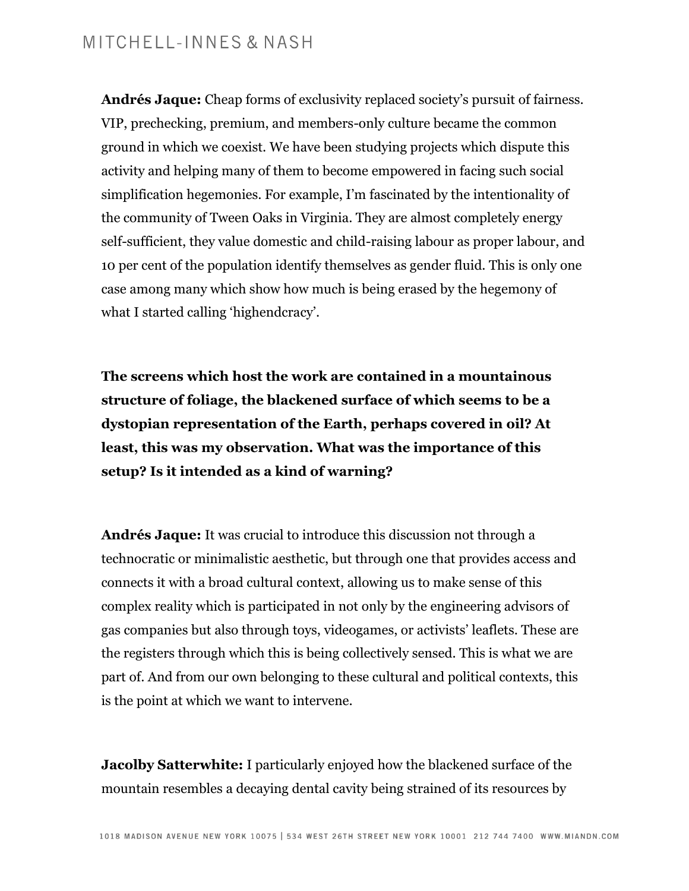**Andrés Jaque:** Cheap forms of exclusivity replaced society's pursuit of fairness. VIP, prechecking, premium, and members-only culture became the common ground in which we coexist. We have been studying projects which dispute this activity and helping many of them to become empowered in facing such social simplification hegemonies. For example, I'm fascinated by the intentionality of the community of Tween Oaks in Virginia. They are almost completely energy self-sufficient, they value domestic and child-raising labour as proper labour, and 10 per cent of the population identify themselves as gender fluid. This is only one case among many which show how much is being erased by the hegemony of what I started calling 'highendcracy'.

**The screens which host the work are contained in a mountainous structure of foliage, the blackened surface of which seems to be a dystopian representation of the Earth, perhaps covered in oil? At least, this was my observation. What was the importance of this setup? Is it intended as a kind of warning?**

**Andrés Jaque:** It was crucial to introduce this discussion not through a technocratic or minimalistic aesthetic, but through one that provides access and connects it with a broad cultural context, allowing us to make sense of this complex reality which is participated in not only by the engineering advisors of gas companies but also through toys, videogames, or activists' leaflets. These are the registers through which this is being collectively sensed. This is what we are part of. And from our own belonging to these cultural and political contexts, this is the point at which we want to intervene.

**Jacolby Satterwhite:** I particularly enjoyed how the blackened surface of the mountain resembles a decaying dental cavity being strained of its resources by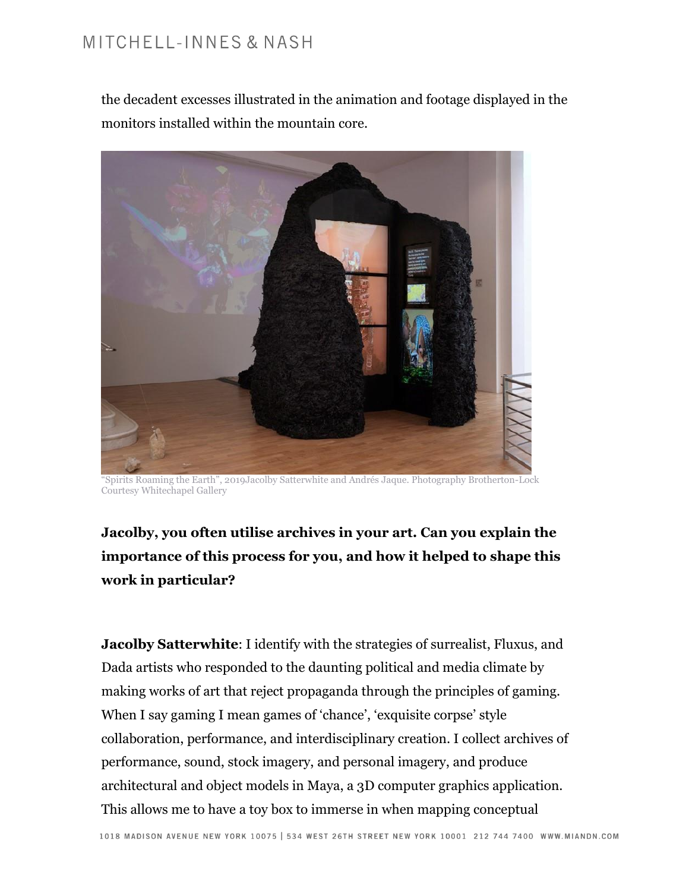the decadent excesses illustrated in the animation and footage displayed in the monitors installed within the mountain core.



"Spirits Roaming the Earth", 2019Jacolby Satterwhite and Andrés Jaque. Photography Brotherton-Lock Courtesy Whitechapel Gallery

**Jacolby, you often utilise archives in your art. Can you explain the importance of this process for you, and how it helped to shape this work in particular?**

**Jacolby Satterwhite**: I identify with the strategies of surrealist, Fluxus, and Dada artists who responded to the daunting political and media climate by making works of art that reject propaganda through the principles of gaming. When I say gaming I mean games of 'chance', 'exquisite corpse' style collaboration, performance, and interdisciplinary creation. I collect archives of performance, sound, stock imagery, and personal imagery, and produce architectural and object models in Maya, a 3D computer graphics application. This allows me to have a toy box to immerse in when mapping conceptual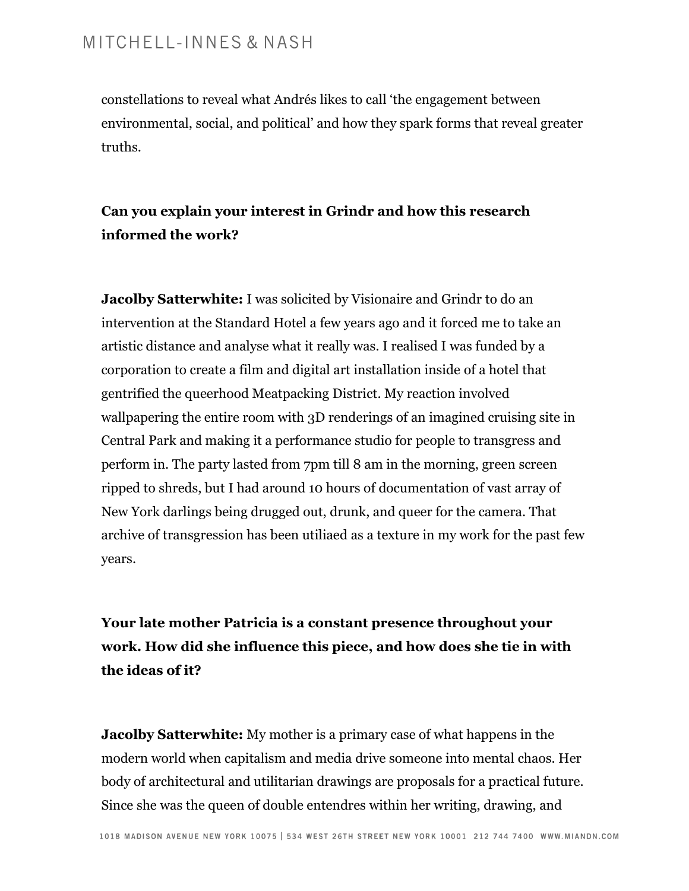constellations to reveal what Andrés likes to call 'the engagement between environmental, social, and political' and how they spark forms that reveal greater truths.

#### **Can you explain your interest in Grindr and how this research informed the work?**

**Jacolby Satterwhite:** I was solicited by Visionaire and Grindr to do an intervention at the Standard Hotel a few years ago and it forced me to take an artistic distance and analyse what it really was. I realised I was funded by a corporation to create a film and digital art installation inside of a hotel that gentrified the queerhood Meatpacking District. My reaction involved wallpapering the entire room with 3D renderings of an imagined cruising site in Central Park and making it a performance studio for people to transgress and perform in. The party lasted from 7pm till 8 am in the morning, green screen ripped to shreds, but I had around 10 hours of documentation of vast array of New York darlings being drugged out, drunk, and queer for the camera. That archive of transgression has been utiliaed as a texture in my work for the past few years.

**Your late mother Patricia is a constant presence throughout your work. How did she influence this piece, and how does she tie in with the ideas of it?**

**Jacolby Satterwhite:** My mother is a primary case of what happens in the modern world when capitalism and media drive someone into mental chaos. Her body of architectural and utilitarian drawings are proposals for a practical future. Since she was the queen of double entendres within her writing, drawing, and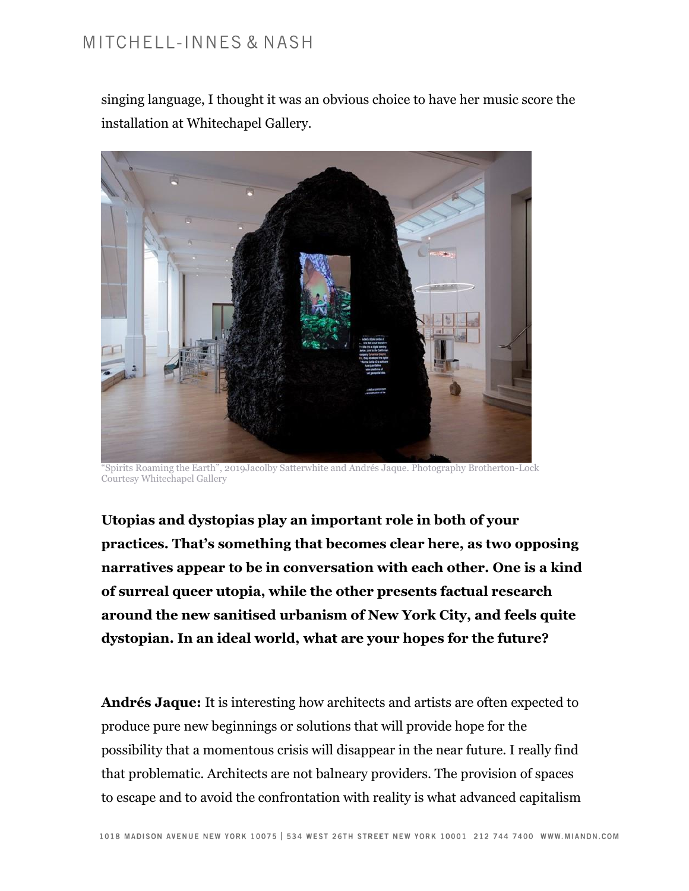singing language, I thought it was an obvious choice to have her music score the installation at Whitechapel Gallery.



"Spirits Roaming the Earth", 2019Jacolby Satterwhite and Andrés Jaque. Photography Brotherton-Lock Courtesy Whitechapel Gallery

**Utopias and dystopias play an important role in both of your practices. That's something that becomes clear here, as two opposing narratives appear to be in conversation with each other. One is a kind of surreal queer utopia, while the other presents factual research around the new sanitised urbanism of New York City, and feels quite dystopian. In an ideal world, what are your hopes for the future?**

**Andrés Jaque:** It is interesting how architects and artists are often expected to produce pure new beginnings or solutions that will provide hope for the possibility that a momentous crisis will disappear in the near future. I really find that problematic. Architects are not balneary providers. The provision of spaces to escape and to avoid the confrontation with reality is what advanced capitalism